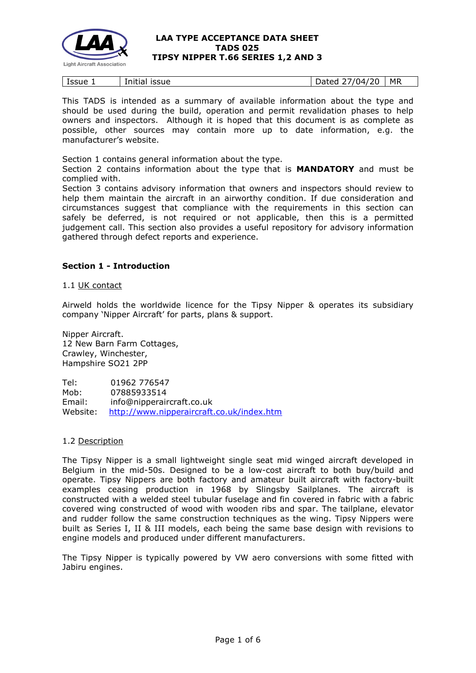

| Issue<br>. . | <b>ISSUE</b><br>Initial | 120<br>ה ו<br>. 14<br>)ated | <b>MR</b> |
|--------------|-------------------------|-----------------------------|-----------|
|--------------|-------------------------|-----------------------------|-----------|

This TADS is intended as a summary of available information about the type and should be used during the build, operation and permit revalidation phases to help owners and inspectors. Although it is hoped that this document is as complete as possible, other sources may contain more up to date information, e.g. the manufacturer's website.

Section 1 contains general information about the type.

Section 2 contains information about the type that is **MANDATORY** and must be complied with.

Section 3 contains advisory information that owners and inspectors should review to help them maintain the aircraft in an airworthy condition. If due consideration and circumstances suggest that compliance with the requirements in this section can safely be deferred, is not required or not applicable, then this is a permitted judgement call. This section also provides a useful repository for advisory information gathered through defect reports and experience.

## **Section 1 - Introduction**

1.1 UK contact

Airweld holds the worldwide licence for the Tipsy Nipper & operates its subsidiary company 'Nipper Aircraft' for parts, plans & support.

Nipper Aircraft. 12 New Barn Farm Cottages, Crawley, Winchester, Hampshire SO21 2PP

Tel: 01962 776547 Mob: 07885933514 Email: info@nipperaircraft.co.uk Website: <http://www.nipperaircraft.co.uk/index.htm>

## 1.2 Description

The Tipsy Nipper is a small lightweight single seat mid winged aircraft developed in Belgium in the mid-50s. Designed to be a low-cost aircraft to both buy/build and operate. Tipsy Nippers are both factory and amateur built aircraft with factory-built examples ceasing production in 1968 by Slingsby Sailplanes. The aircraft is constructed with a welded steel tubular fuselage and fin covered in fabric with a fabric covered wing constructed of wood with wooden ribs and spar. The tailplane, elevator and rudder follow the same construction techniques as the wing. Tipsy Nippers were built as Series I, II & III models, each being the same base design with revisions to engine models and produced under different manufacturers.

The Tipsy Nipper is typically powered by VW aero conversions with some fitted with Jabiru engines.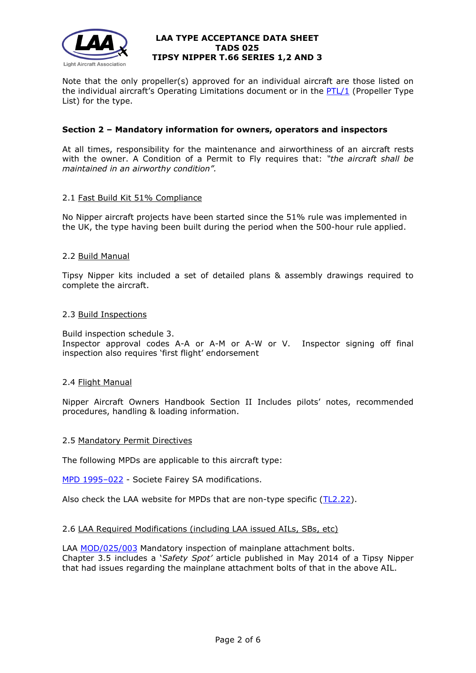

Note that the only propeller(s) approved for an individual aircraft are those listed on the individual aircraft's Operating Limitations document or in the  $PTL/1$  (Propeller Type List) for the type.

## **Section 2 – Mandatory information for owners, operators and inspectors**

At all times, responsibility for the maintenance and airworthiness of an aircraft rests with the owner. A Condition of a Permit to Fly requires that: *"the aircraft shall be maintained in an airworthy condition".* 

## 2.1 Fast Build Kit 51% Compliance

No Nipper aircraft projects have been started since the 51% rule was implemented in the UK, the type having been built during the period when the 500-hour rule applied.

## 2.2 Build Manual

Tipsy Nipper kits included a set of detailed plans & assembly drawings required to complete the aircraft.

## 2.3 Build Inspections

Build inspection schedule 3.

Inspector approval codes A-A or A-M or A-W or V. Inspector signing off final inspection also requires 'first flight' endorsement

## 2.4 Flight Manual

Nipper Aircraft Owners Handbook Section II Includes pilots' notes, recommended procedures, handling & loading information.

## 2.5 Mandatory Permit Directives

The following MPDs are applicable to this aircraft type:

[MPD 1995–022](http://www.lightaircraftassociation.co.uk/engineering/TADs/025/MPD%201995-022%20025.pdf) - Societe Fairey SA modifications.

Also check the LAA website for MPDs that are non-type specific [\(TL2.22\)](http://www.lightaircraftassociation.co.uk/engineering/TechnicalLeaflets/Operating%20An%20Aircraft/TL%202.22%20non-type%20specific%20MPDs.pdf).

## 2.6 LAA Required Modifications (including LAA issued AILs, SBs, etc)

LAA [MOD/025/003](http://www.lightaircraftassociation.co.uk/engineering/Airworthiness/AWA03.pdf) Mandatory inspection of mainplane attachment bolts. Chapter 3.5 includes a '*Safety Spot'* article published in May 2014 of a Tipsy Nipper that had issues regarding the mainplane attachment bolts of that in the above AIL.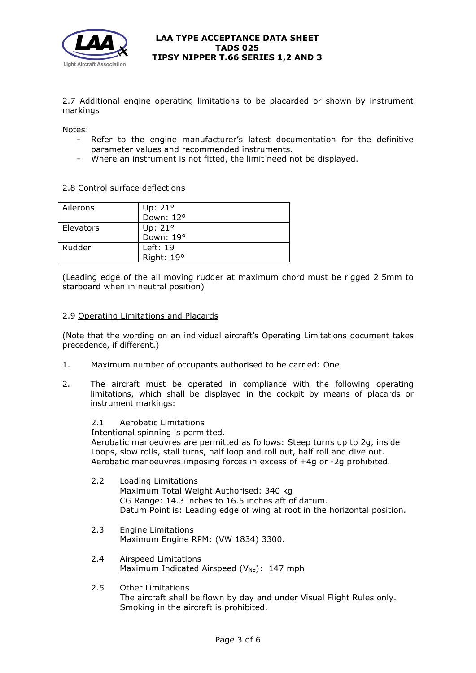

## 2.7 Additional engine operating limitations to be placarded or shown by instrument markings

Notes:

- Refer to the engine manufacturer's latest documentation for the definitive parameter values and recommended instruments.
- Where an instrument is not fitted, the limit need not be displayed.

## 2.8 Control surface deflections

| Ailerons  | Up: $21^\circ$ |
|-----------|----------------|
|           | Down: 12°      |
| Elevators | Up: $21^\circ$ |
|           | Down: 19°      |
| Rudder    | Left: 19       |
|           | Right: 19°     |

(Leading edge of the all moving rudder at maximum chord must be rigged 2.5mm to starboard when in neutral position)

## 2.9 Operating Limitations and Placards

(Note that the wording on an individual aircraft's Operating Limitations document takes precedence, if different.)

- 1. Maximum number of occupants authorised to be carried: One
- 2. The aircraft must be operated in compliance with the following operating limitations, which shall be displayed in the cockpit by means of placards or instrument markings:

2.1 Aerobatic Limitations Intentional spinning is permitted. Aerobatic manoeuvres are permitted as follows: Steep turns up to 2g, inside Loops, slow rolls, stall turns, half loop and roll out, half roll and dive out. Aerobatic manoeuvres imposing forces in excess of +4g or -2g prohibited.

- 2.2 Loading Limitations Maximum Total Weight Authorised: 340 kg CG Range: 14.3 inches to 16.5 inches aft of datum. Datum Point is: Leading edge of wing at root in the horizontal position.
- 2.3 Engine Limitations Maximum Engine RPM: (VW 1834) 3300.
- 2.4 Airspeed Limitations Maximum Indicated Airspeed ( $V_{NE}$ ): 147 mph
- 2.5 Other Limitations The aircraft shall be flown by day and under Visual Flight Rules only. Smoking in the aircraft is prohibited.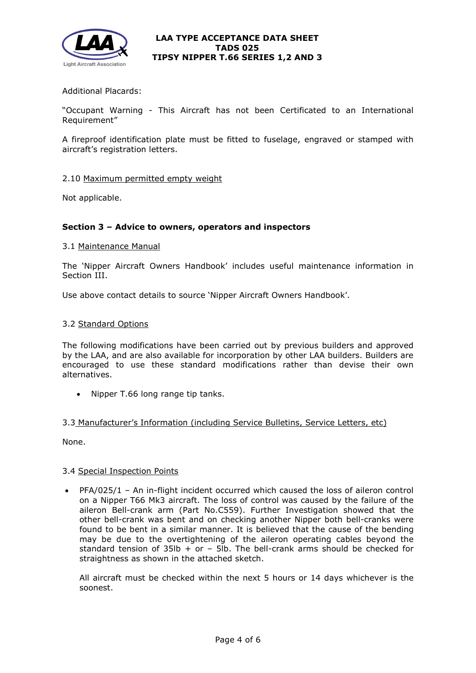

# Additional Placards:

"Occupant Warning - This Aircraft has not been Certificated to an International Requirement"

A fireproof identification plate must be fitted to fuselage, engraved or stamped with aircraft's registration letters.

#### 2.10 Maximum permitted empty weight

Not applicable.

## **Section 3 – Advice to owners, operators and inspectors**

#### 3.1 Maintenance Manual

The 'Nipper Aircraft Owners Handbook' includes useful maintenance information in Section III.

Use above contact details to source 'Nipper Aircraft Owners Handbook'.

#### 3.2 Standard Options

The following modifications have been carried out by previous builders and approved by the LAA, and are also available for incorporation by other LAA builders. Builders are encouraged to use these standard modifications rather than devise their own alternatives.

• Nipper T.66 long range tip tanks.

#### 3.3 Manufacturer's Information (including Service Bulletins, Service Letters, etc)

None.

## 3.4 Special Inspection Points

• PFA/025/1 – An in-flight incident occurred which caused the loss of aileron control on a Nipper T66 Mk3 aircraft. The loss of control was caused by the failure of the aileron Bell-crank arm (Part No.C559). Further Investigation showed that the other bell-crank was bent and on checking another Nipper both bell-cranks were found to be bent in a similar manner. It is believed that the cause of the bending may be due to the overtightening of the aileron operating cables beyond the standard tension of  $35lb + or - 5lb$ . The bell-crank arms should be checked for straightness as shown in the attached sketch.

All aircraft must be checked within the next 5 hours or 14 days whichever is the soonest.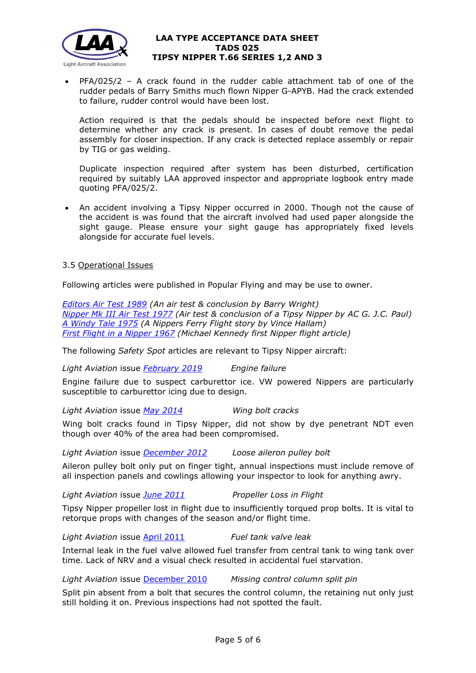

• PFA/025/2 – A crack found in the rudder cable attachment tab of one of the rudder pedals of Barry Smiths much flown Nipper G-APYB. Had the crack extended to failure, rudder control would have been lost.

Action required is that the pedals should be inspected before next flight to determine whether any crack is present. In cases of doubt remove the pedal assembly for closer inspection. If any crack is detected replace assembly or repair by TIG or gas welding.

Duplicate inspection required after system has been disturbed, certification required by suitably LAA approved inspector and appropriate logbook entry made quoting PFA/025/2.

• An accident involving a Tipsy Nipper occurred in 2000. Though not the cause of the accident is was found that the aircraft involved had used paper alongside the sight gauge. Please ensure your sight gauge has appropriately fixed levels alongside for accurate fuel levels.

3.5 Operational Issues

Following articles were published in Popular Flying and may be use to owner.

*[Editors Air Test 1989](http://www.lightaircraftassociation.co.uk/engineering/TADs/025/PFA%2089%20NIPPER%20EDITORS%20AIR%20TEST.pdf) (An air test & conclusion by Barry Wright) [Nipper Mk III Air Test](http://www.lightaircraftassociation.co.uk/engineering/TADs/025/NIPPER%20MK3%20AIR%20TEST%20ARTICLE.pdf) 1977 (Air test & conclusion of a Tipsy Nipper by AC G. J.C. Paul) [A Windy Tale 1975](http://www.lightaircraftassociation.co.uk/engineering/TADs/025/NIPPER%20A%20WINDY%20TALE%20ARTICLE.pdf) (A Nippers Ferry Flight story by Vince Hallam) [First Flight in a Nipper 1967](http://www.lightaircraftassociation.co.uk/engineering/TADs/025/FIRST%20FLIGHT%20IN%20A%20NIPPER.pdf) (Michael Kennedy first Nipper flight article)* 

The following *Safety Spot* articles are relevant to Tipsy Nipper aircraft:

*Light Aviation* issue *[February](http://www.lightaircraftassociation.co.uk/2019/Magazine/Feb/ss_feb.pdf) 2019 Engine failure*

Engine failure due to suspect carburettor ice. VW powered Nippers are particularly susceptible to carburettor icing due to design.

*Light Aviation* issue *May [2014](http://www.lightaircraftassociation.co.uk/2014/Mag/May/safety_spot.pdf) Wing bolt cracks*

Wing bolt cracks found in Tipsy Nipper, did not show by dye penetrant NDT even though over 40% of the area had been compromised.

*Light Aviation* issue *[December 2012](http://www.lightaircraftassociation.co.uk/2012/Magazine/December/safety_spot_dec.pdf) Loose aileron pulley bolt*

Aileron pulley bolt only put on finger tight, annual inspections must include remove of all inspection panels and cowlings allowing your inspector to look for anything awry.

*Light Aviation* issue *[June 2011](http://www.lightaircraftassociation.co.uk/2011/Magazine/June/safety%20spot.pdf) Propeller Loss in Flight*

Tipsy Nipper propeller lost in flight due to insufficiently torqued prop bolts. It is vital to retorque props with changes of the season and/or flight time.

*Light Aviation* issue [April 2011](http://www.lightaircraftassociation.co.uk/2011/Magazine/April/Safety%20Spot%20April%202011.pdf) *Fuel tank valve leak*

Internal leak in the fuel valve allowed fuel transfer from central tank to wing tank over time. Lack of NRV and a visual check resulted in accidental fuel starvation.

*Light Aviation* issue [December](http://www.lightaircraftassociation.co.uk/2010/Magazine/2010/Dec/safety_spot_dec_10.pdf) 2010 *Missing control column split pin*

Split pin absent from a bolt that secures the control column, the retaining nut only just still holding it on. Previous inspections had not spotted the fault.